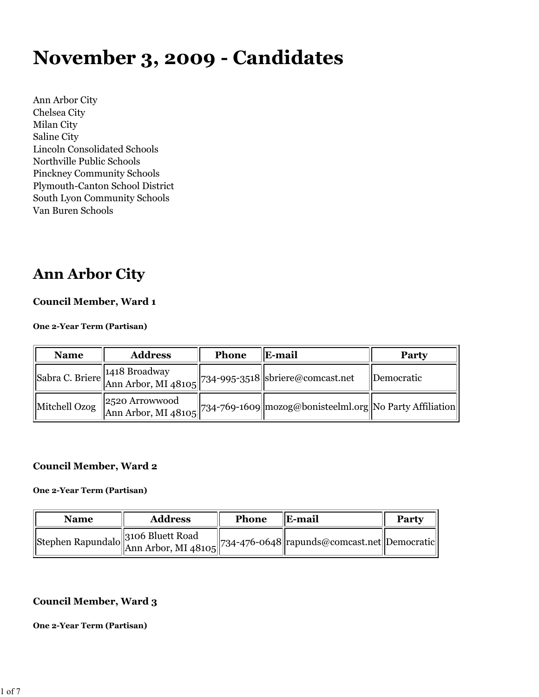# **November 3, 2009 - Candidates**

Ann Arbor City Chelsea City Milan City Saline City Lincoln Consolidated Schools Northville Public Schools Pinckney Community Schools Plymouth-Canton School District South Lyon Community Schools Van Buren Schools

## **Ann Arbor City**

#### **Council Member, Ward 1**

#### **One 2-Year Term (Partisan)**

| <b>Name</b>   | <b>Address</b> | Phone | E-mail                                                                                                                                                             | Party      |
|---------------|----------------|-------|--------------------------------------------------------------------------------------------------------------------------------------------------------------------|------------|
|               |                |       | $\left\ \text{Sabra C. Briere}\right\ ^{1418\text{ Broadway}}_{\text{Ann Arbor, MI 48105}}\middle\ 734\text{-995-3518}\middle\ \text{sbriere@comcast.net}\right\ $ | Democratic |
| Mitchell Ozog |                |       | $\begin{bmatrix} 2520 \text{ Arrowwood} \\ \text{Ann Arbor, MI } 48105 \end{bmatrix}$ 734-769-1609 mozog@bonisteelml.org No Party Affiliation                      |            |

#### **Council Member, Ward 2**

#### **One 2-Year Term (Partisan)**

| <b>Name</b> | <b>Address</b> | <b>Phone</b> | <b>IE-mail</b>                                                                                        | <b>Party</b> |
|-------------|----------------|--------------|-------------------------------------------------------------------------------------------------------|--------------|
|             |                |              | Stephen Rapundalo 3106 Bluett Road<br>Ann Arbor, MI 48105 734-476-0648 rapunds@comcast.net Democratic |              |

#### **Council Member, Ward 3**

#### **One 2-Year Term (Partisan)**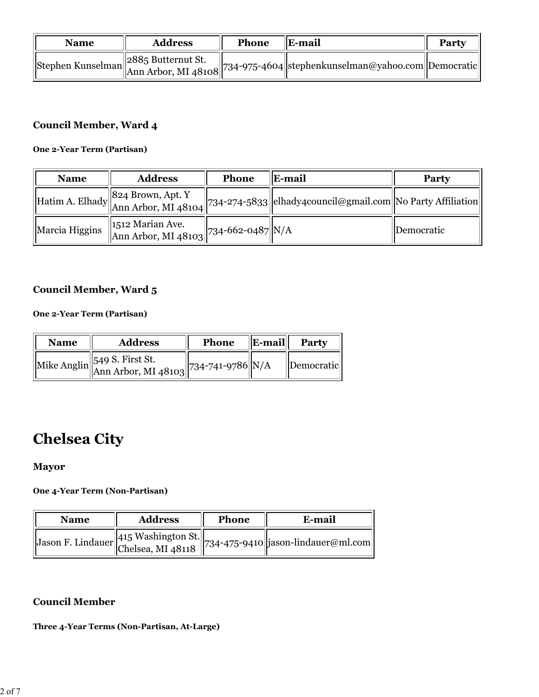| <b>Name</b> | <b>Address</b> | Phone | $\ E\text{-mail}\ $                                                                                                                                                                  | <b>Party</b> |
|-------------|----------------|-------|--------------------------------------------------------------------------------------------------------------------------------------------------------------------------------------|--------------|
|             |                |       | Stephen Kunselman 2885 Butternut St. $\begin{bmatrix} 2885 & \text{Butternut St.} \\ \text{Ann Arbor, MI } 48108 & 734-975-4604 \end{bmatrix}$ stephenkunselman@yahoo.com Democratic |              |

### **Council Member, Ward 4**

#### **One 2-Year Term (Partisan)**

| <b>Name</b>    | <b>Address</b>                                              | <b>Phone</b> | E-mail                                                                                                                              | Party      |
|----------------|-------------------------------------------------------------|--------------|-------------------------------------------------------------------------------------------------------------------------------------|------------|
|                |                                                             |              | Hatim A. Elhady 824 Brown, Apt. Y<br>Hatim A. Elhady Ann Arbor, MI 48104 734-274-5833 elhady4council@gmail.com No Party Affiliation |            |
| Marcia Higgins | 1512 Marian Ave.<br>MARIAN Arbor, MI 48103 734-662-0487 N/A |              |                                                                                                                                     | Democratic |

### **Council Member, Ward 5**

#### **One 2-Year Term (Partisan)**

| <b>Name</b> | <b>Address</b>                                                       | <b>Phone</b> | $\ $ E-mail $\ $ | Party                     |
|-------------|----------------------------------------------------------------------|--------------|------------------|---------------------------|
|             | Mike Anglin 349 S. First St.<br>Ann Arbor, MI 48103 734-741-9786 N/A |              |                  | <i><b>IDemocratic</b></i> |

# **Chelsea City**

### **Mayor**

#### **One 4-Year Term (Non-Partisan)**

| <b>Name</b> | <b>Address</b> | Phone | E-mail                                                                               |
|-------------|----------------|-------|--------------------------------------------------------------------------------------|
|             |                |       | <sup>1</sup> Iason F. Lindauer 415 Washington St. 734-475-9410 jason-lindauer@ml.com |

### **Council Member**

#### **Three 4-Year Terms (Non-Partisan, At-Large)**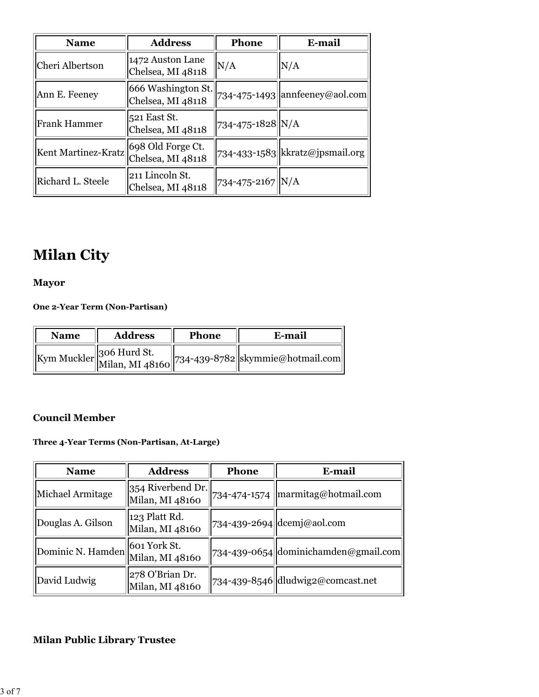| <b>Name</b>         | <b>Address</b>                          | <b>Phone</b>     | E-mail                               |
|---------------------|-----------------------------------------|------------------|--------------------------------------|
| Cheri Albertson     | 1472 Auston Lane<br>Chelsea, MI 48118   | N/A              | N/A                                  |
| Ann E. Feeney       | 666 Washington St.<br>Chelsea, MI 48118 |                  | $734 - 475 - 1493$ annfeeney@aol.com |
| <b>Frank Hammer</b> | 521 East St.<br>Chelsea, MI 48118       | 734-475-1828 N/A |                                      |
| Kent Martinez-Kratz | 698 Old Forge Ct.<br>Chelsea, MI 48118  |                  | 734-433-1583 kkratz@jpsmail.org      |
| Richard L. Steele   | 211 Lincoln St.<br>Chelsea, MI 48118    | 734-475-2167 N/A |                                      |

# **Milan City**

### **Mayor**

**One 2-Year Term (Non-Partisan)**

| <b>Name</b> | <b>Address</b> | <b>Phone</b> | E-mail                                                                  |
|-------------|----------------|--------------|-------------------------------------------------------------------------|
|             |                |              | <br> Kym Muckler  306 Hurd St.   <br> 734-439-8782  skymmie@hotmail.com |

### **Council Member**

#### **Three 4-Year Terms (Non-Partisan, At-Large)**

| <b>Name</b>       | <b>Address</b>                       | Phone        | E-mail                                              |
|-------------------|--------------------------------------|--------------|-----------------------------------------------------|
| Michael Armitage  | 354 Riverbend Dr.<br>Milan, MI 48160 | 734-474-1574 | $\parallel$ marmitag@hotmail.com                    |
| Douglas A. Gilson | 123 Platt Rd.<br>Milan, MI 48160     |              | 734-439-2694  dcemj@aol.com                         |
| Dominic N. Hamden | 601 York St.<br>Milan, MI 48160      |              | $\left 734-439-0654\right $ dominichamden@gmail.com |
| David Ludwig      | 278 O'Brian Dr.<br>Milan, MI 48160   |              | 734-439-8546 dludwig2@comcast.net                   |

### **Milan Public Library Trustee**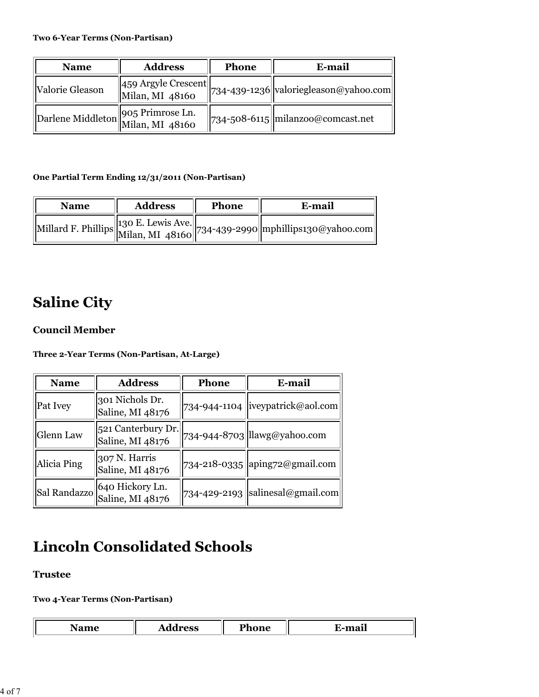| <b>Name</b>                        | <b>Address</b>                                                                    | <b>Phone</b> | E-mail                                                                                                         |
|------------------------------------|-----------------------------------------------------------------------------------|--------------|----------------------------------------------------------------------------------------------------------------|
| Valorie Gleason                    | $\left  \frac{\text{459 Argyle Present}}{\text{Milan, MI } \text{48160}} \right $ |              | $\left\langle \left\  734\text{-}439\text{-}1236 \right\  \right.$ valoriegleason@yahoo.com $\left\  \right\ $ |
| Darlene Middleton 905 Primrose Ln. |                                                                                   |              | 734-508-6115  milanzoo@comcast.net                                                                             |

#### **One Partial Term Ending 12/31/2011 (Non-Partisan)**

| <b>Name</b> | <b>Address</b> | <b>Phone</b> | E-mail                                                                    |
|-------------|----------------|--------------|---------------------------------------------------------------------------|
|             |                |              | Millard F. Phillips 130 E. Lewis Ave. 734-439-2990 mphillips130@yahoo.com |

# **Saline City**

### **Council Member**

**Three 2-Year Terms (Non-Partisan, At-Large)**

| <b>Name</b>      | <b>Address</b>                         | <b>Phone</b> | E-mail                                 |
|------------------|----------------------------------------|--------------|----------------------------------------|
| Pat Ivey         | 301 Nichols Dr.<br>Saline, MI 48176    |              | 734-944-1104 liveypatrick@aol.com      |
| <b>Glenn Law</b> | 521 Canterbury Dr.<br>Saline, MI 48176 |              | 734-944-8703 llawg@yahoo.com           |
| Alicia Ping      | 307 N. Harris<br>Saline, MI 48176      |              | 734-218-0335 aping 72@gmail.com        |
| Sal Randazzo     | 640 Hickory Ln.<br>Saline, MI 48176    |              | $734 - 429 - 2193$ salinesal@gmail.com |

# **Lincoln Consolidated Schools**

#### **Trustee**

L

**Two 4-Year Terms (Non-Partisan)**

| - -<br>. | <br><b>F</b> HOHE | $\sim$<br>man |
|----------|-------------------|---------------|
|          |                   |               |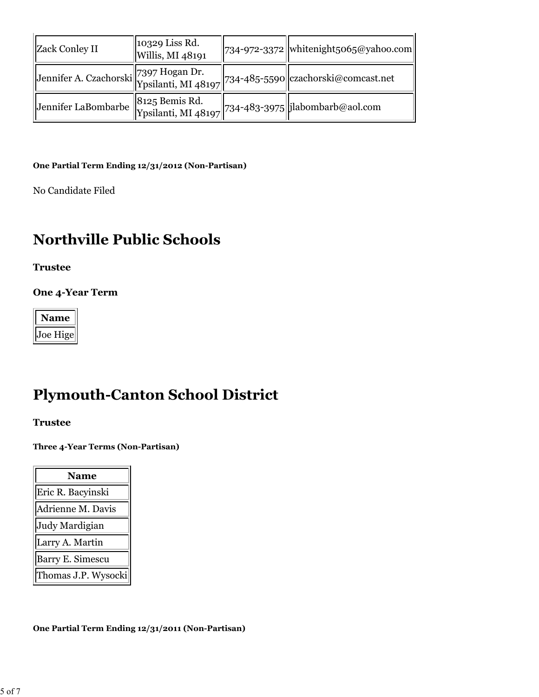| <b>Zack Conley II</b> | 10329 Liss Rd.<br>  Willis, MI 48191 | $  734-972-3372  $ whitenight5065@yahoo.com                                 |
|-----------------------|--------------------------------------|-----------------------------------------------------------------------------|
|                       |                                      | Jennifer A. Czachorski 7397 Hogan Dr. [734-485-5590] czachorski@comcast.net |
| Jennifer LaBombarbe   |                                      | 8125 Bemis Rd.<br>Ypsilanti, MI 48197 734-483-3975 ilabombarb@aol.com       |

#### **One Partial Term Ending 12/31/2012 (Non-Partisan)**

No Candidate Filed

# **Northville Public Schools**

**Trustee**

**One 4-Year Term**

| Vame                        |
|-----------------------------|
| <sub>oe</sub><br>$H^2$<br>م |

# **Plymouth-Canton School District**

**Trustee**

**Three 4-Year Terms (Non-Partisan)**

| <b>Name</b>             |  |
|-------------------------|--|
| Eric R. Bacyinski       |  |
| Adrienne M. Davis       |  |
| Judy Mardigian          |  |
| Larry A. Martin         |  |
| <b>Barry E. Simescu</b> |  |
| Thomas J.P. Wysocki     |  |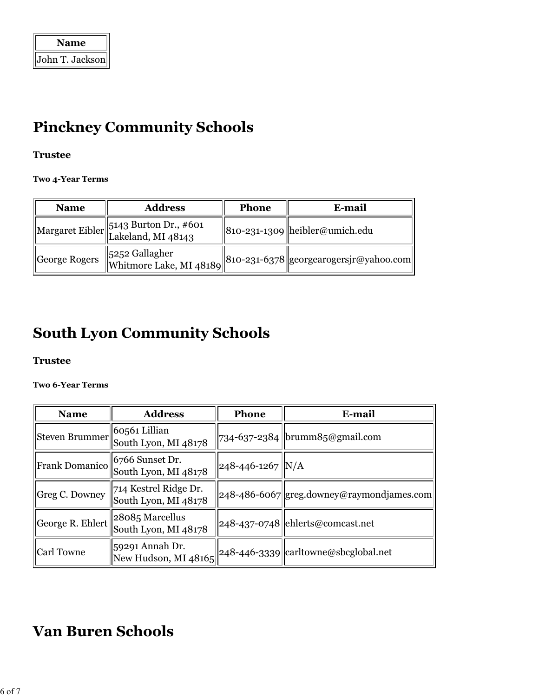| <b>Name</b>     |  |
|-----------------|--|
| John T. Jackson |  |

# **Pinckney Community Schools**

### **Trustee**

**Two 4-Year Terms**

| <b>Name</b>   | <b>Address</b>                        | <b>Phone</b> | E-mail                                                                           |
|---------------|---------------------------------------|--------------|----------------------------------------------------------------------------------|
|               | Margaret Eibler 5143 Burton Dr., #601 |              | 810-231-1309  heibler@umich.edu                                                  |
| George Rogers |                                       |              | 5252 Gallagher<br>Whitmore Lake, MI 48189 810-231-6378 georgearogersjr@yahoo.com |

# **South Lyon Community Schools**

### **Trustee**

#### **Two 6-Year Terms**

| <b>Name</b>           | <b>Address</b>                                | Phone                  | E-mail                                    |
|-----------------------|-----------------------------------------------|------------------------|-------------------------------------------|
| Steven Brummer        | 60561 Lillian<br>South Lyon, MI 48178         |                        | 734-637-2384  brumm85@gmail.com           |
| <b>Frank Domanico</b> | 6766 Sunset Dr.<br>South Lyon, MI 48178       | $248 - 446 - 1267$ N/A |                                           |
| Greg C. Downey        | 714 Kestrel Ridge Dr.<br>South Lyon, MI 48178 |                        | 248-486-6067 greg.downey@raymondjames.com |
| George R. Ehlert      | 28085 Marcellus<br>South Lyon, MI 48178       |                        | 248-437-0748 ehlerts@comcast.net          |
| <b>Carl Towne</b>     | 59291 Annah Dr.<br>New Hudson, MI 48165       |                        | 248-446-3339 carltowne@sbcglobal.net      |

# **Van Buren Schools**